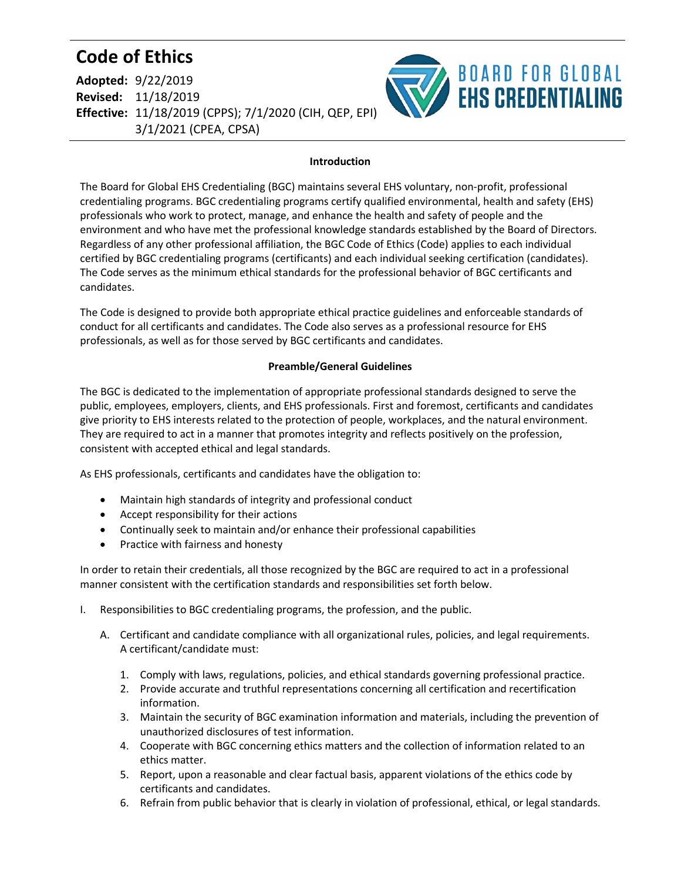## **Code of Ethics**

| <b>Adopted: 9/22/2019</b>                              |
|--------------------------------------------------------|
| <b>Revised: 11/18/2019</b>                             |
| Effective: 11/18/2019 (CPPS); 7/1/2020 (CIH, QEP, EPI) |
| 3/1/2021 (CPEA, CPSA)                                  |



## **Introduction**

The Board for Global EHS Credentialing (BGC) maintains several EHS voluntary, non-profit, professional credentialing programs. BGC credentialing programs certify qualified environmental, health and safety (EHS) professionals who work to protect, manage, and enhance the health and safety of people and the environment and who have met the professional knowledge standards established by the Board of Directors. Regardless of any other professional affiliation, the BGC Code of Ethics (Code) applies to each individual certified by BGC credentialing programs (certificants) and each individual seeking certification (candidates). The Code serves as the minimum ethical standards for the professional behavior of BGC certificants and candidates.

The Code is designed to provide both appropriate ethical practice guidelines and enforceable standards of conduct for all certificants and candidates. The Code also serves as a professional resource for EHS professionals, as well as for those served by BGC certificants and candidates.

## **Preamble/General Guidelines**

The BGC is dedicated to the implementation of appropriate professional standards designed to serve the public, employees, employers, clients, and EHS professionals. First and foremost, certificants and candidates give priority to EHS interests related to the protection of people, workplaces, and the natural environment. They are required to act in a manner that promotes integrity and reflects positively on the profession, consistent with accepted ethical and legal standards.

As EHS professionals, certificants and candidates have the obligation to:

- Maintain high standards of integrity and professional conduct
- Accept responsibility for their actions
- Continually seek to maintain and/or enhance their professional capabilities
- Practice with fairness and honesty

In order to retain their credentials, all those recognized by the BGC are required to act in a professional manner consistent with the certification standards and responsibilities set forth below.

- I. Responsibilities to BGC credentialing programs, the profession, and the public.
	- A. Certificant and candidate compliance with all organizational rules, policies, and legal requirements. A certificant/candidate must:
		- 1. Comply with laws, regulations, policies, and ethical standards governing professional practice.
		- 2. Provide accurate and truthful representations concerning all certification and recertification information.
		- 3. Maintain the security of BGC examination information and materials, including the prevention of unauthorized disclosures of test information.
		- 4. Cooperate with BGC concerning ethics matters and the collection of information related to an ethics matter.
		- 5. Report, upon a reasonable and clear factual basis, apparent violations of the ethics code by certificants and candidates.
		- 6. Refrain from public behavior that is clearly in violation of professional, ethical, or legal standards.